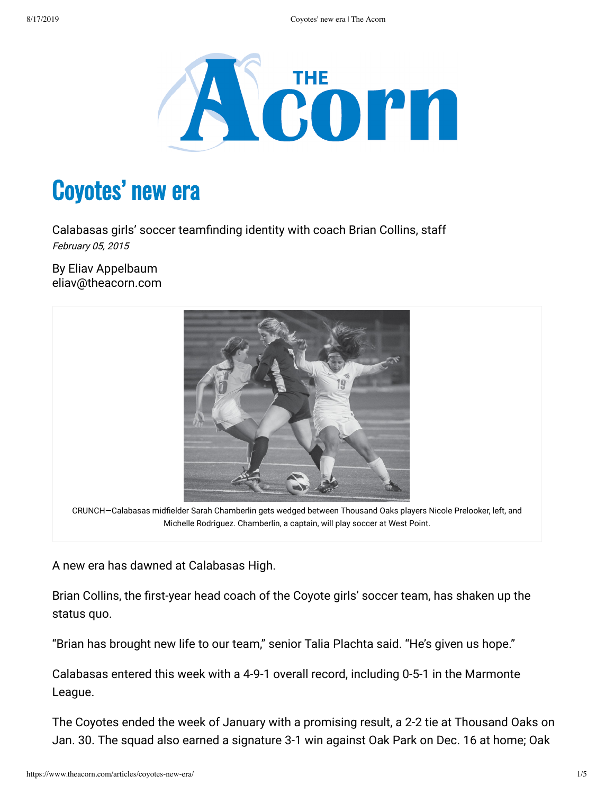

## Coyotes' new era

Calabasas girls' soccer teamfinding identity with coach Brian Collins, staff February 05, 2015

By Eliav Appelbaum eliav@theacorn.com



CRUNCH-Calabasas midfielder Sarah Chamberlin gets wedged between Thousand Oaks players Nicole Prelooker, left, and Michelle Rodriguez. Chamberlin, a captain, will play soccer at West Point.

A new era has dawned at Calabasas High.

Brian Collins, the first-year head coach of the Coyote girls' soccer team, has shaken up the status quo.

"Brian has brought new life to our team," senior Talia Plachta said. "He's given us hope."

Calabasas entered this week with a 4-9-1 overall record, including 0-5-1 in the Marmonte League.

The Coyotes ended the week of January with a promising result, a 2-2 tie at Thousand Oaks on Jan. 30. The squad also earned a signature 3-1 win against Oak Park on Dec. 16 at home; Oak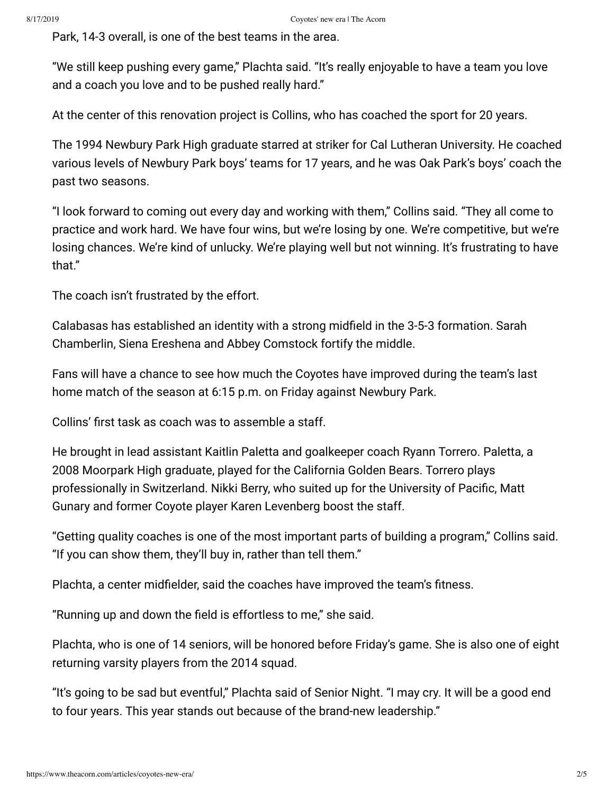Park, 14-3 overall, is one of the best teams in the area.

"We still keep pushing every game," Plachta said. "It's really enjoyable to have a team you love and a coach you love and to be pushed really hard."

At the center of this renovation project is Collins, who has coached the sport for 20 years.

The 1994 Newbury Park High graduate starred at striker for Cal Lutheran University. He coached various levels of Newbury Park boys' teams for 17 years, and he was Oak Park's boys' coach the past two seasons.

"I look forward to coming out every day and working with them," Collins said. "They all come to practice and work hard. We have four wins, but we're losing by one. We're competitive, but we're losing chances. We're kind of unlucky. We're playing well but not winning. It's frustrating to have that."

The coach isn't frustrated by the effort.

Calabasas has established an identity with a strong midfield in the 3-5-3 formation. Sarah Chamberlin, Siena Ereshena and Abbey Comstock fortify the middle.

Fans will have a chance to see how much the Coyotes have improved during the team's last home match of the season at 6:15 p.m. on Friday against Newbury Park.

Collins' first task as coach was to assemble a staff.

He brought in lead assistant Kaitlin Paletta and goalkeeper coach Ryann Torrero. Paletta, a 2008 Moorpark High graduate, played for the California Golden Bears. Torrero plays professionally in Switzerland. Nikki Berry, who suited up for the University of Pacific, Matt Gunary and former Coyote player Karen Levenberg boost the staff.

"Getting quality coaches is one of the most important parts of building a program," Collins said. "If you can show them, they'll buy in, rather than tell them."

Plachta, a center midfielder, said the coaches have improved the team's fitness.

"Running up and down the field is effortless to me," she said.

Plachta, who is one of 14 seniors, will be honored before Friday's game. She is also one of eight returning varsity players from the 2014 squad.

"It's going to be sad but eventful," Plachta said of Senior Night. "I may cry. It will be a good end to four years. This year stands out because of the brand-new leadership."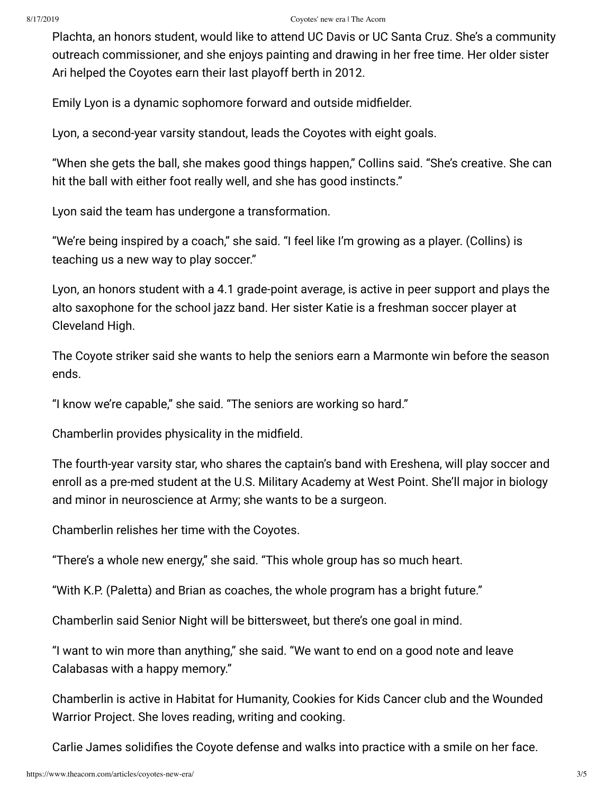## 8/17/2019 Coyotes' new era | The Acorn

Plachta, an honors student, would like to attend UC Davis or UC Santa Cruz. She's a community outreach commissioner, and she enjoys painting and drawing in her free time. Her older sister Ari helped the Coyotes earn their last playoff berth in 2012.

Emily Lyon is a dynamic sophomore forward and outside midfielder.

Lyon, a second-year varsity standout, leads the Coyotes with eight goals.

"When she gets the ball, she makes good things happen," Collins said. "She's creative. She can hit the ball with either foot really well, and she has good instincts."

Lyon said the team has undergone a transformation.

"We're being inspired by a coach," she said. "I feel like I'm growing as a player. (Collins) is teaching us a new way to play soccer."

Lyon, an honors student with a 4.1 grade-point average, is active in peer support and plays the alto saxophone for the school jazz band. Her sister Katie is a freshman soccer player at Cleveland High.

The Coyote striker said she wants to help the seniors earn a Marmonte win before the season ends.

"I know we're capable," she said. "The seniors are working so hard."

Chamberlin provides physicality in the midfield.

The fourth-year varsity star, who shares the captain's band with Ereshena, will play soccer and enroll as a pre-med student at the U.S. Military Academy at West Point. She'll major in biology and minor in neuroscience at Army; she wants to be a surgeon.

Chamberlin relishes her time with the Coyotes.

"There's a whole new energy," she said. "This whole group has so much heart.

"With K.P. (Paletta) and Brian as coaches, the whole program has a bright future."

Chamberlin said Senior Night will be bittersweet, but there's one goal in mind.

"I want to win more than anything," she said. "We want to end on a good note and leave Calabasas with a happy memory."

Chamberlin is active in Habitat for Humanity, Cookies for Kids Cancer club and the Wounded Warrior Project. She loves reading, writing and cooking.

Carlie James solidifies the Coyote defense and walks into practice with a smile on her face.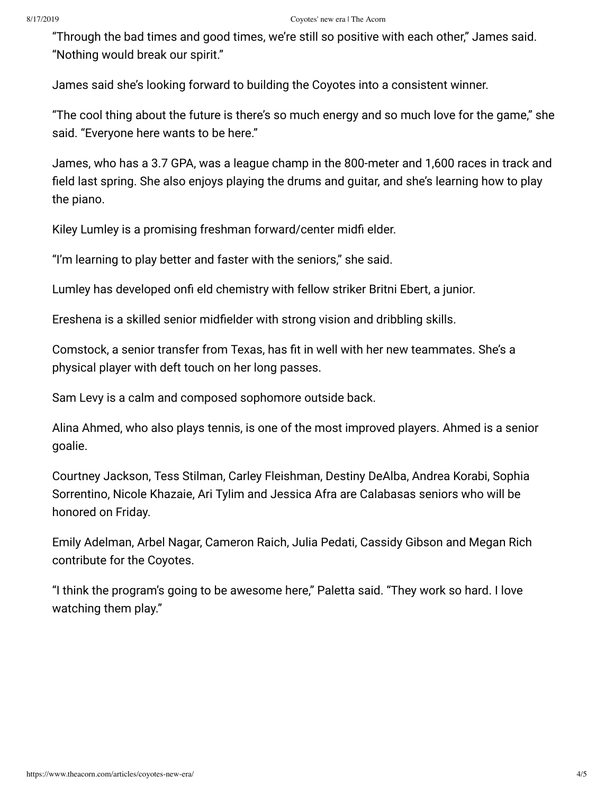"Through the bad times and good times, we're still so positive with each other," James said. "Nothing would break our spirit."

James said she's looking forward to building the Coyotes into a consistent winner.

"The cool thing about the future is there's so much energy and so much love for the game," she said. "Everyone here wants to be here."

James, who has a 3.7 GPA, was a league champ in the 800-meter and 1,600 races in track and field last spring. She also enjoys playing the drums and guitar, and she's learning how to play the piano.

Kiley Lumley is a promising freshman forward/center midfi elder.

"I'm learning to play better and faster with the seniors," she said.

Lumley has developed onfi eld chemistry with fellow striker Britni Ebert, a junior.

Ereshena is a skilled senior midfielder with strong vision and dribbling skills.

Comstock, a senior transfer from Texas, has fit in well with her new teammates. She's a physical player with deft touch on her long passes.

Sam Levy is a calm and composed sophomore outside back.

Alina Ahmed, who also plays tennis, is one of the most improved players. Ahmed is a senior goalie.

Courtney Jackson, Tess Stilman, Carley Fleishman, Destiny DeAlba, Andrea Korabi, Sophia Sorrentino, Nicole Khazaie, Ari Tylim and Jessica Afra are Calabasas seniors who will be honored on Friday.

Emily Adelman, Arbel Nagar, Cameron Raich, Julia Pedati, Cassidy Gibson and Megan Rich contribute for the Coyotes.

"I think the program's going to be awesome here," Paletta said. "They work so hard. I love watching them play."